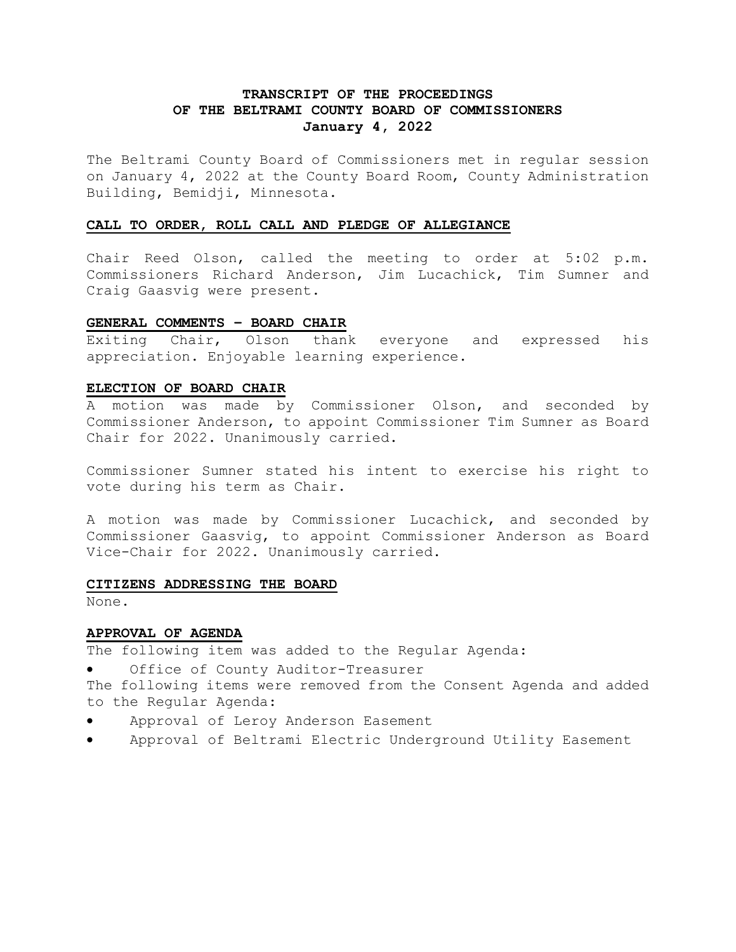# **TRANSCRIPT OF THE PROCEEDINGS OF THE BELTRAMI COUNTY BOARD OF COMMISSIONERS January 4, 2022**

The Beltrami County Board of Commissioners met in regular session on January 4, 2022 at the County Board Room, County Administration Building, Bemidji, Minnesota.

## **CALL TO ORDER, ROLL CALL AND PLEDGE OF ALLEGIANCE**

Chair Reed Olson, called the meeting to order at 5:02 p.m. Commissioners Richard Anderson, Jim Lucachick, Tim Sumner and Craig Gaasvig were present.

## **GENERAL COMMENTS – BOARD CHAIR**

Exiting Chair, Olson thank everyone and expressed his appreciation. Enjoyable learning experience.

## **ELECTION OF BOARD CHAIR**

A motion was made by Commissioner Olson, and seconded by Commissioner Anderson, to appoint Commissioner Tim Sumner as Board Chair for 2022. Unanimously carried.

Commissioner Sumner stated his intent to exercise his right to vote during his term as Chair.

A motion was made by Commissioner Lucachick, and seconded by Commissioner Gaasvig, to appoint Commissioner Anderson as Board Vice-Chair for 2022. Unanimously carried.

#### **CITIZENS ADDRESSING THE BOARD**

None.

## **APPROVAL OF AGENDA**

The following item was added to the Regular Agenda:

Office of County Auditor-Treasurer

The following items were removed from the Consent Agenda and added to the Regular Agenda:

- Approval of Leroy Anderson Easement
- Approval of Beltrami Electric Underground Utility Easement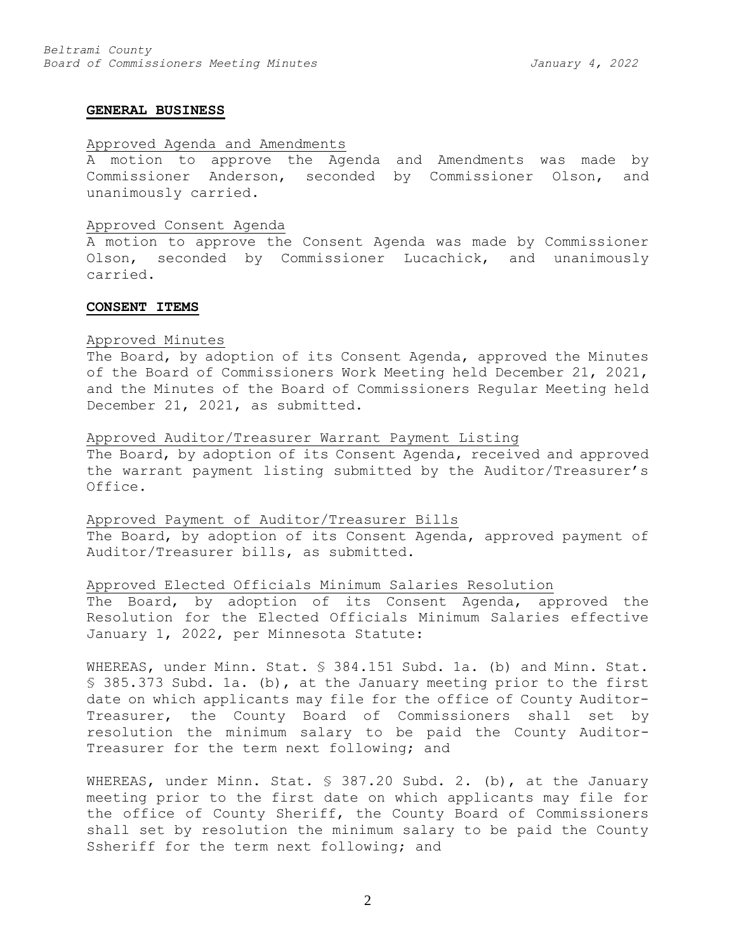## **GENERAL BUSINESS**

### Approved Agenda and Amendments

A motion to approve the Agenda and Amendments was made by Commissioner Anderson, seconded by Commissioner Olson, and unanimously carried.

#### Approved Consent Agenda

A motion to approve the Consent Agenda was made by Commissioner Olson, seconded by Commissioner Lucachick, and unanimously carried.

#### **CONSENT ITEMS**

#### Approved Minutes

The Board, by adoption of its Consent Agenda, approved the Minutes of the Board of Commissioners Work Meeting held December 21, 2021, and the Minutes of the Board of Commissioners Regular Meeting held December 21, 2021, as submitted.

#### Approved Auditor/Treasurer Warrant Payment Listing

The Board, by adoption of its Consent Agenda, received and approved the warrant payment listing submitted by the Auditor/Treasurer's Office.

#### Approved Payment of Auditor/Treasurer Bills

The Board, by adoption of its Consent Agenda, approved payment of Auditor/Treasurer bills, as submitted.

#### Approved Elected Officials Minimum Salaries Resolution

The Board, by adoption of its Consent Agenda, approved the Resolution for the Elected Officials Minimum Salaries effective January 1, 2022, per Minnesota Statute:

WHEREAS, under Minn. Stat. § 384.151 Subd. 1a. (b) and Minn. Stat. § 385.373 Subd. 1a. (b), at the January meeting prior to the first date on which applicants may file for the office of County Auditor-Treasurer, the County Board of Commissioners shall set by resolution the minimum salary to be paid the County Auditor-Treasurer for the term next following; and

WHEREAS, under Minn. Stat. § 387.20 Subd. 2. (b), at the January meeting prior to the first date on which applicants may file for the office of County Sheriff, the County Board of Commissioners shall set by resolution the minimum salary to be paid the County Ssheriff for the term next following; and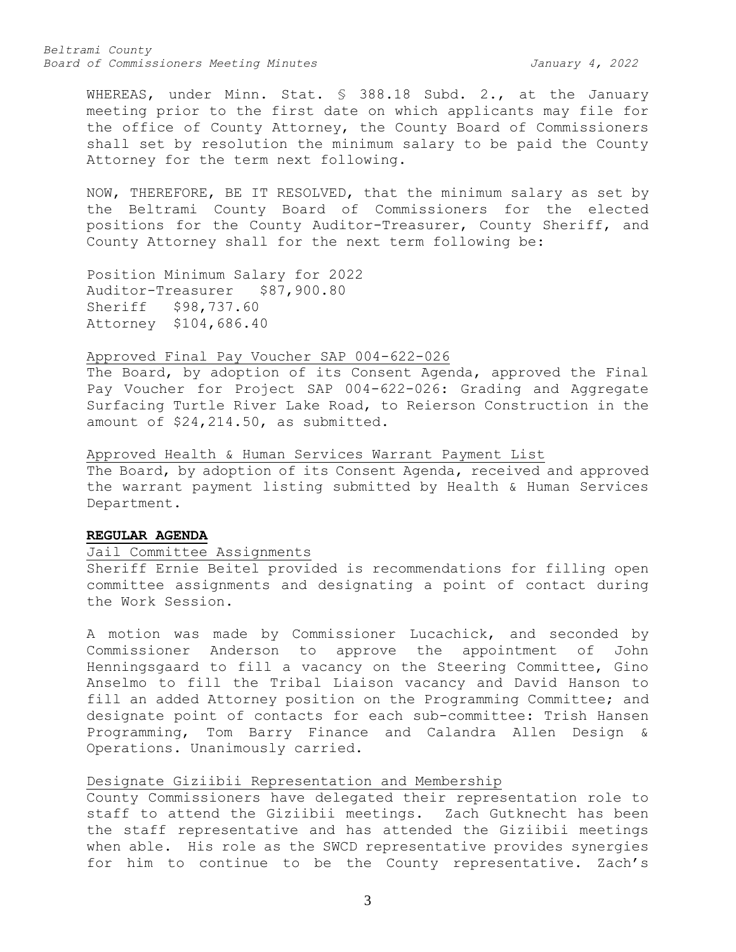*Beltrami County Board of Commissioners Meeting Minutes January 4, 2022*

WHEREAS, under Minn. Stat. § 388.18 Subd. 2., at the January meeting prior to the first date on which applicants may file for the office of County Attorney, the County Board of Commissioners shall set by resolution the minimum salary to be paid the County Attorney for the term next following.

NOW, THEREFORE, BE IT RESOLVED, that the minimum salary as set by the Beltrami County Board of Commissioners for the elected positions for the County Auditor-Treasurer, County Sheriff, and County Attorney shall for the next term following be:

Position Minimum Salary for 2022 Auditor-Treasurer \$87,900.80 Sheriff \$98,737.60 Attorney \$104,686.40

## Approved Final Pay Voucher SAP 004-622-026

The Board, by adoption of its Consent Agenda, approved the Final Pay Voucher for Project SAP 004-622-026: Grading and Aggregate Surfacing Turtle River Lake Road, to Reierson Construction in the amount of \$24,214.50, as submitted.

Approved Health & Human Services Warrant Payment List

The Board, by adoption of its Consent Agenda, received and approved the warrant payment listing submitted by Health & Human Services Department.

## **REGULAR AGENDA**

## Jail Committee Assignments

Sheriff Ernie Beitel provided is recommendations for filling open committee assignments and designating a point of contact during the Work Session.

A motion was made by Commissioner Lucachick, and seconded by Commissioner Anderson to approve the appointment of John Henningsgaard to fill a vacancy on the Steering Committee, Gino Anselmo to fill the Tribal Liaison vacancy and David Hanson to fill an added Attorney position on the Programming Committee; and designate point of contacts for each sub-committee: Trish Hansen Programming, Tom Barry Finance and Calandra Allen Design & Operations. Unanimously carried.

## Designate Giziibii Representation and Membership

County Commissioners have delegated their representation role to staff to attend the Giziibii meetings. Zach Gutknecht has been the staff representative and has attended the Giziibii meetings when able. His role as the SWCD representative provides synergies for him to continue to be the County representative. Zach's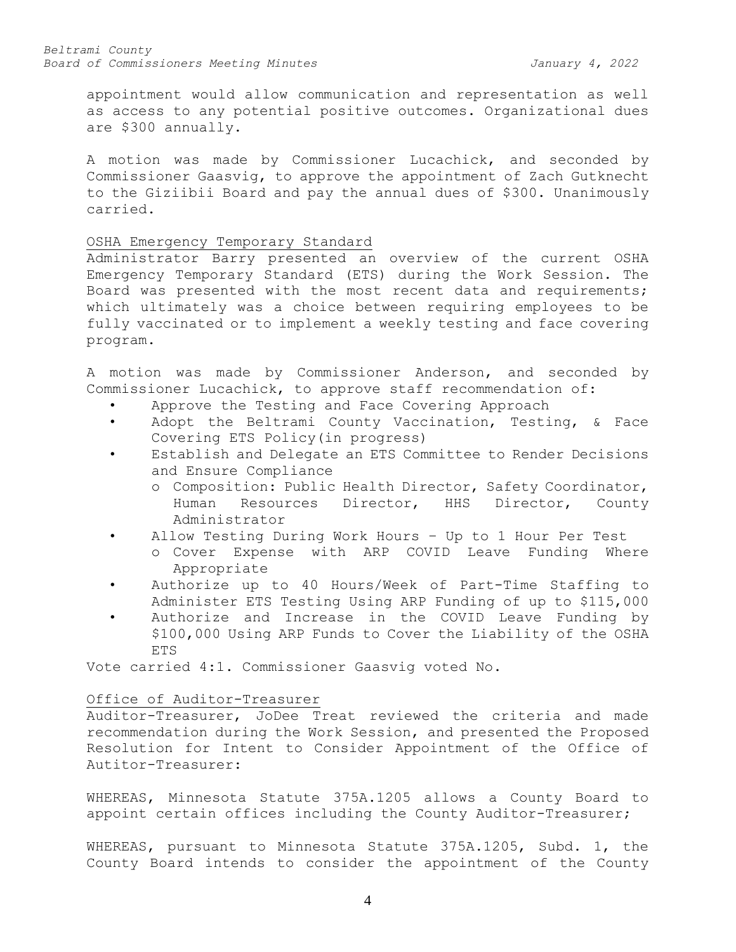appointment would allow communication and representation as well as access to any potential positive outcomes. Organizational dues are \$300 annually.

A motion was made by Commissioner Lucachick, and seconded by Commissioner Gaasvig, to approve the appointment of Zach Gutknecht to the Giziibii Board and pay the annual dues of \$300. Unanimously carried.

## OSHA Emergency Temporary Standard

Administrator Barry presented an overview of the current OSHA Emergency Temporary Standard (ETS) during the Work Session. The Board was presented with the most recent data and requirements; which ultimately was a choice between requiring employees to be fully vaccinated or to implement a weekly testing and face covering program.

A motion was made by Commissioner Anderson, and seconded by Commissioner Lucachick, to approve staff recommendation of:

- Approve the Testing and Face Covering Approach
- Adopt the Beltrami County Vaccination, Testing, & Face Covering ETS Policy(in progress)
- Establish and Delegate an ETS Committee to Render Decisions and Ensure Compliance
	- o Composition: Public Health Director, Safety Coordinator, Human Resources Director, HHS Director, County Administrator
- Allow Testing During Work Hours Up to 1 Hour Per Test
	- o Cover Expense with ARP COVID Leave Funding Where Appropriate
- Authorize up to 40 Hours/Week of Part-Time Staffing to Administer ETS Testing Using ARP Funding of up to \$115,000
- Authorize and Increase in the COVID Leave Funding by \$100,000 Using ARP Funds to Cover the Liability of the OSHA ETS

Vote carried 4:1. Commissioner Gaasvig voted No.

#### Office of Auditor-Treasurer

Auditor-Treasurer, JoDee Treat reviewed the criteria and made recommendation during the Work Session, and presented the Proposed Resolution for Intent to Consider Appointment of the Office of Autitor-Treasurer:

WHEREAS, Minnesota Statute 375A.1205 allows a County Board to appoint certain offices including the County Auditor-Treasurer;

WHEREAS, pursuant to Minnesota Statute 375A.1205, Subd. 1, the County Board intends to consider the appointment of the County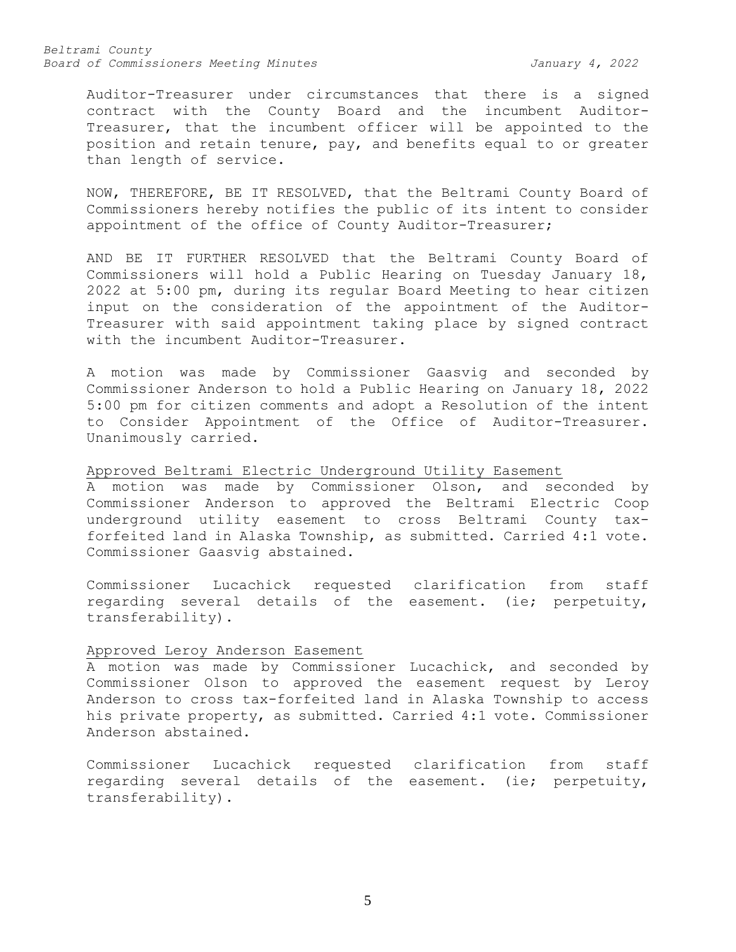*Beltrami County Board of Commissioners Meeting Minutes January 4, 2022*

Auditor-Treasurer under circumstances that there is a signed contract with the County Board and the incumbent Auditor-Treasurer, that the incumbent officer will be appointed to the position and retain tenure, pay, and benefits equal to or greater than length of service.

NOW, THEREFORE, BE IT RESOLVED, that the Beltrami County Board of Commissioners hereby notifies the public of its intent to consider appointment of the office of County Auditor-Treasurer;

AND BE IT FURTHER RESOLVED that the Beltrami County Board of Commissioners will hold a Public Hearing on Tuesday January 18, 2022 at 5:00 pm, during its regular Board Meeting to hear citizen input on the consideration of the appointment of the Auditor-Treasurer with said appointment taking place by signed contract with the incumbent Auditor-Treasurer.

A motion was made by Commissioner Gaasvig and seconded by Commissioner Anderson to hold a Public Hearing on January 18, 2022 5:00 pm for citizen comments and adopt a Resolution of the intent to Consider Appointment of the Office of Auditor-Treasurer. Unanimously carried.

Approved Beltrami Electric Underground Utility Easement

A motion was made by Commissioner Olson, and seconded by Commissioner Anderson to approved the Beltrami Electric Coop underground utility easement to cross Beltrami County taxforfeited land in Alaska Township, as submitted. Carried 4:1 vote. Commissioner Gaasvig abstained.

Commissioner Lucachick requested clarification from staff regarding several details of the easement. (ie; perpetuity, transferability).

### Approved Leroy Anderson Easement

A motion was made by Commissioner Lucachick, and seconded by Commissioner Olson to approved the easement request by Leroy Anderson to cross tax-forfeited land in Alaska Township to access his private property, as submitted. Carried 4:1 vote. Commissioner Anderson abstained.

Commissioner Lucachick requested clarification from staff regarding several details of the easement. (ie; perpetuity, transferability).